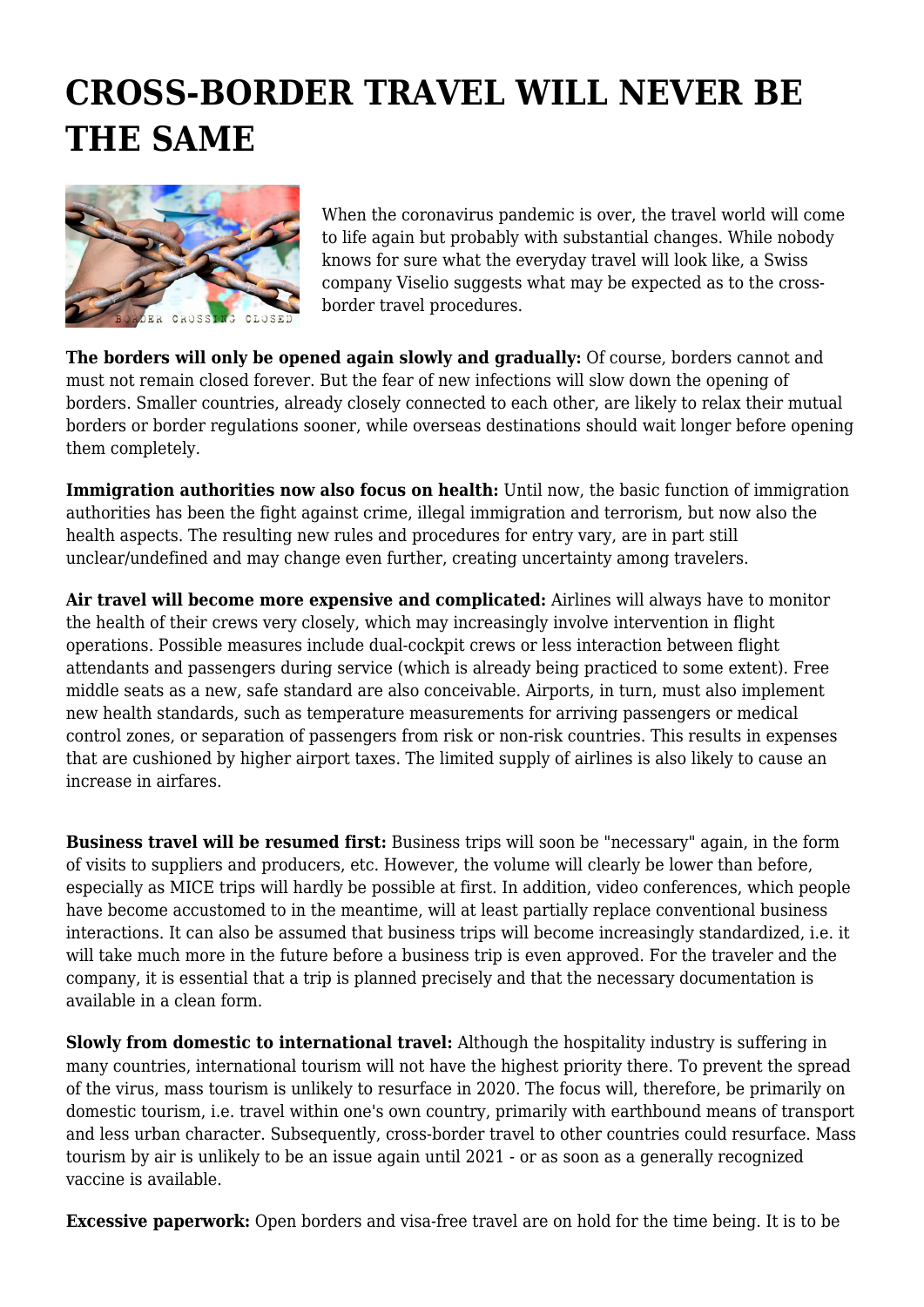## **CROSS-BORDER TRAVEL WILL NEVER BE THE SAME**



When the coronavirus pandemic is over, the travel world will come to life again but probably with substantial changes. While nobody knows for sure what the everyday travel will look like, a Swiss company Viselio suggests what may be expected as to the crossborder travel procedures.

**The borders will only be opened again slowly and gradually:** Of course, borders cannot and must not remain closed forever. But the fear of new infections will slow down the opening of borders. Smaller countries, already closely connected to each other, are likely to relax their mutual borders or border regulations sooner, while overseas destinations should wait longer before opening them completely.

**Immigration authorities now also focus on health:** Until now, the basic function of immigration authorities has been the fight against crime, illegal immigration and terrorism, but now also the health aspects. The resulting new rules and procedures for entry vary, are in part still unclear/undefined and may change even further, creating uncertainty among travelers.

**Air travel will become more expensive and complicated:** Airlines will always have to monitor the health of their crews very closely, which may increasingly involve intervention in flight operations. Possible measures include dual-cockpit crews or less interaction between flight attendants and passengers during service (which is already being practiced to some extent). Free middle seats as a new, safe standard are also conceivable. Airports, in turn, must also implement new health standards, such as temperature measurements for arriving passengers or medical control zones, or separation of passengers from risk or non-risk countries. This results in expenses that are cushioned by higher airport taxes. The limited supply of airlines is also likely to cause an increase in airfares.

**Business travel will be resumed first:** Business trips will soon be "necessary" again, in the form of visits to suppliers and producers, etc. However, the volume will clearly be lower than before, especially as MICE trips will hardly be possible at first. In addition, video conferences, which people have become accustomed to in the meantime, will at least partially replace conventional business interactions. It can also be assumed that business trips will become increasingly standardized, i.e. it will take much more in the future before a business trip is even approved. For the traveler and the company, it is essential that a trip is planned precisely and that the necessary documentation is available in a clean form.

**Slowly from domestic to international travel:** Although the hospitality industry is suffering in many countries, international tourism will not have the highest priority there. To prevent the spread of the virus, mass tourism is unlikely to resurface in 2020. The focus will, therefore, be primarily on domestic tourism, i.e. travel within one's own country, primarily with earthbound means of transport and less urban character. Subsequently, cross-border travel to other countries could resurface. Mass tourism by air is unlikely to be an issue again until 2021 - or as soon as a generally recognized vaccine is available.

**Excessive paperwork:** Open borders and visa-free travel are on hold for the time being. It is to be